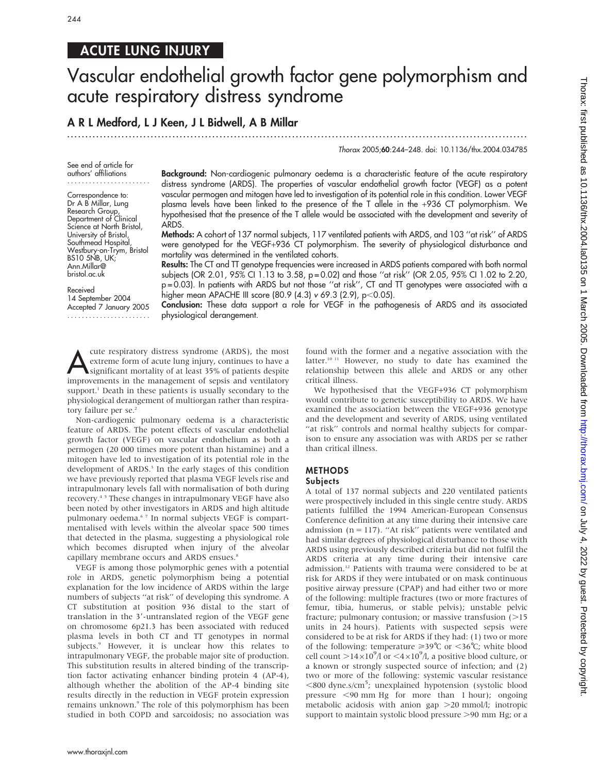# 244

# ACUTE LUNG INJURY

# Vascular endothelial growth factor gene polymorphism and acute respiratory distress syndrome

# A R L Medford, L J Keen, J L Bidwell, A B Millar

...............................................................................................................................

## Thorax 2005;60:244–248. doi: 10.1136/thx.2004.034785

See end of article for authors' affiliations .......................

Correspondence to: Dr A B Millar, Lung Research Group, Department of Clinical Science at North Bristol, University of Bristol, Southmead Hospital Westbury-on-Trym, Bristol BS10 5NB, UK; Ann.Millar@ bristol.ac.uk

Background: Non-cardiogenic pulmonary oedema is a characteristic feature of the acute respiratory distress syndrome (ARDS). The properties of vascular endothelial growth factor (VEGF) as a potent vascular permogen and mitogen have led to investigation of its potential role in this condition. Lower VEGF plasma levels have been linked to the presence of the T allele in the +936 CT polymorphism. We hypothesised that the presence of the T allele would be associated with the development and severity of ARDS.

Methods: A cohort of 137 normal subjects, 117 ventilated patients with ARDS, and 103 ''at risk'' of ARDS were genotyped for the VEGF+936 CT polymorphism. The severity of physiological disturbance and mortality was determined in the ventilated cohorts.

Results: The CT and TT genotype frequencies were increased in ARDS patients compared with both normal subjects (OR 2.01, 95% CI 1.13 to 3.58, p = 0.02) and those "at risk" (OR 2.05, 95% CI 1.02 to 2.20, p = 0.03). In patients with ARDS but not those ''at risk'', CT and TT genotypes were associated with a higher mean APACHE III score (80.9 (4.3) v 69.3 (2.9), p<0.05).

Received 14 September 2004 Accepted 7 January 2005 .......................

Conclusion: These data support a role for VEGF in the pathogenesis of ARDS and its associated physiological derangement.

Acute respiratory distress syndrome (ARDS), the most<br>extreme form of acute lung injury, continues to have a<br>significant mortality of at least 35% of patients despite<br>improvements in the management of sensis and ventilatory extreme form of acute lung injury, continues to have a improvements in the management of sepsis and ventilatory support.<sup>1</sup> Death in these patients is usually secondary to the physiological derangement of multiorgan rather than respiratory failure per se.<sup>2</sup>

Non-cardiogenic pulmonary oedema is a characteristic feature of ARDS. The potent effects of vascular endothelial growth factor (VEGF) on vascular endothelium as both a permogen (20 000 times more potent than histamine) and a mitogen have led to investigation of its potential role in the development of ARDS.<sup>3</sup> In the early stages of this condition we have previously reported that plasma VEGF levels rise and intrapulmonary levels fall with normalisation of both during recovery.4 5 These changes in intrapulmonary VEGF have also been noted by other investigators in ARDS and high altitude pulmonary oedema.<sup>67</sup> In normal subjects VEGF is compartmentalised with levels within the alveolar space 500 times that detected in the plasma, suggesting a physiological role which becomes disrupted when injury of the alveolar capillary membrane occurs and ARDS ensues.<sup>8</sup>

VEGF is among those polymorphic genes with a potential role in ARDS, genetic polymorphism being a potential explanation for the low incidence of ARDS within the large numbers of subjects ''at risk'' of developing this syndrome. A CT substitution at position 936 distal to the start of translation in the 3'-untranslated region of the VEGF gene on chromosome 6p21.3 has been associated with reduced plasma levels in both CT and TT genotypes in normal subjects.<sup>9</sup> However, it is unclear how this relates to intrapulmonary VEGF, the probable major site of production. This substitution results in altered binding of the transcription factor activating enhancer binding protein 4 (AP-4), although whether the abolition of the AP-4 binding site results directly in the reduction in VEGF protein expression remains unknown.<sup>9</sup> The role of this polymorphism has been studied in both COPD and sarcoidosis; no association was

found with the former and a negative association with the latter.<sup>10 11</sup> However, no study to date has examined the relationship between this allele and ARDS or any other critical illness.

We hypothesised that the VEGF+936 CT polymorphism would contribute to genetic susceptibility to ARDS. We have examined the association between the VEGF+936 genotype and the development and severity of ARDS, using ventilated "at risk" controls and normal healthy subjects for comparison to ensure any association was with ARDS per se rather than critical illness.

# METHODS

#### **Subjects**

A total of 137 normal subjects and 220 ventilated patients were prospectively included in this single centre study. ARDS patients fulfilled the 1994 American-European Consensus Conference definition at any time during their intensive care admission ( $n = 117$ ). "At risk" patients were ventilated and had similar degrees of physiological disturbance to those with ARDS using previously described criteria but did not fulfil the ARDS criteria at any time during their intensive care admission.12 Patients with trauma were considered to be at risk for ARDS if they were intubated or on mask continuous positive airway pressure (CPAP) and had either two or more of the following: multiple fractures (two or more fractures of femur, tibia, humerus, or stable pelvis); unstable pelvic fracture; pulmonary contusion; or massive transfusion  $(>15$ units in 24 hours). Patients with suspected sepsis were considered to be at risk for ARDS if they had: (1) two or more of the following: temperature  $\geq 39^{\circ}$  or <36°C; white blood cell count  $>$ 14 $\times$ 10<sup>9</sup>/l or  $<$ 4 $\times$ 10<sup>9</sup>/l, a positive blood culture, or a known or strongly suspected source of infection; and (2) two or more of the following: systemic vascular resistance <800 dyne.s/cm<sup>5</sup>; unexplained hypotension (systolic blood pressure <90 mm Hg for more than 1 hour); ongoing metabolic acidosis with anion gap  $>20$  mmol/l; inotropic support to maintain systolic blood pressure >90 mm Hg; or a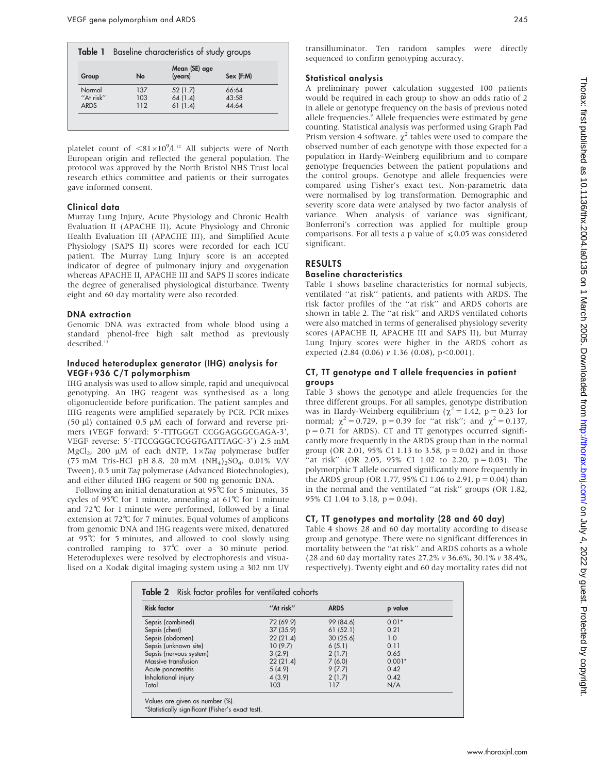|             |     | Mean (SE) age |           |
|-------------|-----|---------------|-----------|
| Group       | No  | (years)       | Sex (F:M) |
| Normal      | 137 | 52(1.7)       | 66:64     |
| "At risk"   | 103 | 64(1.4)       | 43:58     |
| <b>ARDS</b> | 112 | 61(1.4)       | 44.64     |

platelet count of  $\langle 81 \times 10^9 \text{A} \rangle$ <sup>12</sup> All subjects were of North European origin and reflected the general population. The protocol was approved by the North Bristol NHS Trust local research ethics committee and patients or their surrogates gave informed consent.

#### Clinical data

Murray Lung Injury, Acute Physiology and Chronic Health Evaluation II (APACHE II), Acute Physiology and Chronic Health Evaluation III (APACHE III), and Simplified Acute Physiology (SAPS II) scores were recorded for each ICU patient. The Murray Lung Injury score is an accepted indicator of degree of pulmonary injury and oxygenation whereas APACHE II, APACHE III and SAPS II scores indicate the degree of generalised physiological disturbance. Twenty eight and 60 day mortality were also recorded.

### DNA extraction

Genomic DNA was extracted from whole blood using a standard phenol-free high salt method as previously described.<sup>13</sup>

#### Induced heteroduplex generator (IHG) analysis for VEGF+936 C/T polymorphism

IHG analysis was used to allow simple, rapid and unequivocal genotyping. An IHG reagent was synthesised as a long oligonucleotide before purification. The patient samples and IHG reagents were amplified separately by PCR. PCR mixes (50  $\mu$ I) contained 0.5  $\mu$ M each of forward and reverse primers (VEGF forward: 5'-TTTGGGT CCGGAGGGCGAGA-3', VEGF reverse: 5'-TTCCGGGCTCGGTGATTTAGC-3') 2.5 mM MgCl<sub>2</sub>, 200  $\mu$ M of each dNTP,  $1 \times Taq$  polymerase buffer (75 mM Tris-HCl pH 8.8, 20 mM  $(NH_4)_2SO_4$ , 0.01% V/V Tween), 0.5 unit Taq polymerase (Advanced Biotechnologies), and either diluted IHG reagent or 500 ng genomic DNA.

Following an initial denaturation at 95˚C for 5 minutes, 35 cycles of 95℃ for 1 minute, annealing at 61℃ for 1 minute and  $72^{\circ}$ C for 1 minute were performed, followed by a final extension at 72˚C for 7 minutes. Equal volumes of amplicons from genomic DNA and IHG reagents were mixed, denatured at  $95^{\circ}$ C for 5 minutes, and allowed to cool slowly using controlled ramping to 37˚C over a 30 minute period. Heteroduplexes were resolved by electrophoresis and visualised on a Kodak digital imaging system using a 302 nm UV

transilluminator. Ten random samples were directly sequenced to confirm genotyping accuracy.

## Statistical analysis

A preliminary power calculation suggested 100 patients would be required in each group to show an odds ratio of 2 in allele or genotype frequency on the basis of previous noted allele frequencies.<sup>9</sup> Allele frequencies were estimated by gene counting. Statistical analysis was performed using Graph Pad Prism version 4 software.  $\chi^2$  tables were used to compare the observed number of each genotype with those expected for a population in Hardy-Weinberg equilibrium and to compare genotype frequencies between the patient populations and the control groups. Genotype and allele frequencies were compared using Fisher's exact test. Non-parametric data were normalised by log transformation. Demographic and severity score data were analysed by two factor analysis of variance. When analysis of variance was significant, Bonferroni's correction was applied for multiple group comparisons. For all tests a p value of  $\leq 0.05$  was considered significant.

# RESULTS

## Baseline characteristics

Table 1 shows baseline characteristics for normal subjects, ventilated ''at risk'' patients, and patients with ARDS. The risk factor profiles of the ''at risk'' and ARDS cohorts are shown in table 2. The ''at risk'' and ARDS ventilated cohorts were also matched in terms of generalised physiology severity scores (APACHE II, APACHE III and SAPS II), but Murray Lung Injury scores were higher in the ARDS cohort as expected  $(2.84 (0.06) v 1.36 (0.08), p<0.001)$ .

#### CT, TT genotype and T allele frequencies in patient groups

Table 3 shows the genotype and allele frequencies for the three different groups. For all samples, genotype distribution was in Hardy-Weinberg equilibrium ( $\chi^2 = 1.42$ , p = 0.23 for normal;  $\chi^2 = 0.729$ , p = 0.39 for "at risk"; and  $\chi^2 = 0.137$ ,  $p = 0.71$  for ARDS). CT and TT genotypes occurred significantly more frequently in the ARDS group than in the normal group (OR 2.01, 95% CI 1.13 to 3.58,  $p = 0.02$ ) and in those "at risk" (OR 2.05, 95% CI 1.02 to 2.20,  $p = 0.03$ ). The polymorphic T allele occurred significantly more frequently in the ARDS group (OR 1.77, 95% CI 1.06 to 2.91,  $p = 0.04$ ) than in the normal and the ventilated ''at risk'' groups (OR 1.82, 95% CI 1.04 to 3.18,  $p = 0.04$ ).

### CT, TT genotypes and mortality (28 and 60 day)

Table 4 shows 28 and 60 day mortality according to disease group and genotype. There were no significant differences in mortality between the ''at risk'' and ARDS cohorts as a whole (28 and 60 day mortality rates 27.2% v 36.6%, 30.1% v 38.4%, respectively). Twenty eight and 60 day mortality rates did not

| <b>Risk factor</b>      | "At risk" | <b>ARDS</b> | p value  |
|-------------------------|-----------|-------------|----------|
| Sepsis (combined)       | 72 (69.9) | 99 (84.6)   | $0.01*$  |
| Sepsis (chest)          | 37 (35.9) | 61(52.1)    | 0.21     |
| Sepsis (abdomen)        | 22(21.4)  | 30(25.6)    | 1.0      |
| Sepsis (unknown site)   | 10(9.7)   | 6(5.1)      | 0.11     |
| Sepsis (nervous system) | 3(2.9)    | 2(1.7)      | 0.65     |
| Massive transfusion     | 22(21.4)  | 7(6.0)      | $0.001*$ |
| Acute pancreatitis      | 5(4.9)    | 9(7.7)      | 0.42     |
| Inhalational injury     | 4(3.9)    | 2(1.7)      | 0.42     |
| Total                   | 103       | 117         | N/A      |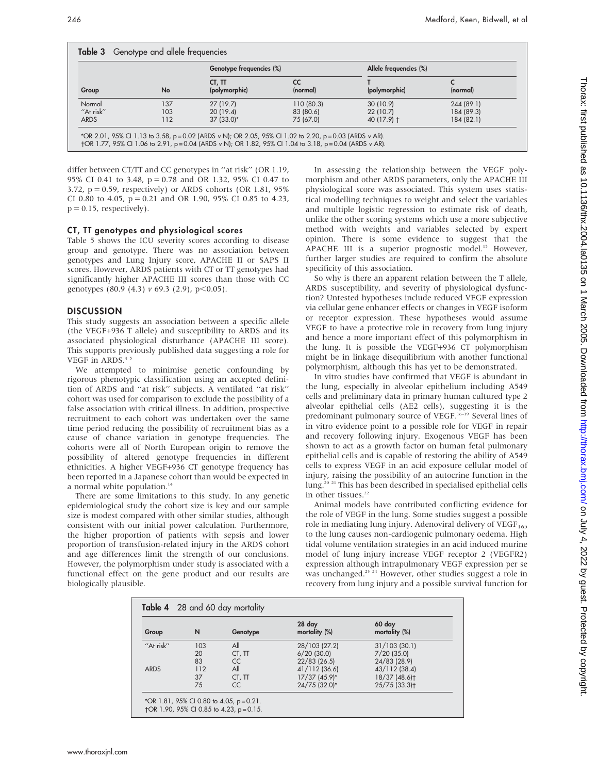| Group       | <b>No</b> | Genotype frequencies (%) |                | Allele frequencies (%) |            |
|-------------|-----------|--------------------------|----------------|------------------------|------------|
|             |           | CT.TT<br>(polymorphic)   | CC<br>(normal) | (polymorphic)          | (normal)   |
| Normal      | 137       | 27(19.7)                 | 110 (80.3)     | 30 (10.9)              | 244 (89.1) |
| "At risk"   | 103       | 20(19.4)                 | 83 (80.6)      | 22 (10.7)              | 184 (89.3) |
| <b>ARDS</b> | 112       | $37(33.0)^*$             | 75 (67.0)      | 40 (17.9) +            | 184 (82.1) |

differ between CT/TT and CC genotypes in ''at risk'' (OR 1.19, 95% CI 0.41 to 3.48, p = 0.78 and OR 1.32, 95% CI 0.47 to 3.72,  $p = 0.59$ , respectively) or ARDS cohorts (OR 1.81, 95%) CI 0.80 to 4.05,  $p = 0.21$  and OR 1.90, 95% CI 0.85 to 4.23,  $p = 0.15$ , respectively).

### CT, TT genotypes and physiological scores

Table 5 shows the ICU severity scores according to disease group and genotype. There was no association between genotypes and Lung Injury score, APACHE II or SAPS II scores. However, ARDS patients with CT or TT genotypes had significantly higher APACHE III scores than those with CC genotypes (80.9 (4.3)  $v$  69.3 (2.9), p $<$ 0.05).

#### DISCUSSION

This study suggests an association between a specific allele (the VEGF+936 T allele) and susceptibility to ARDS and its associated physiological disturbance (APACHE III score). This supports previously published data suggesting a role for VEGF in ARDS.<sup>45</sup>

We attempted to minimise genetic confounding by rigorous phenotypic classification using an accepted definition of ARDS and ''at risk'' subjects. A ventilated ''at risk'' cohort was used for comparison to exclude the possibility of a false association with critical illness. In addition, prospective recruitment to each cohort was undertaken over the same time period reducing the possibility of recruitment bias as a cause of chance variation in genotype frequencies. The cohorts were all of North European origin to remove the possibility of altered genotype frequencies in different ethnicities. A higher VEGF+936 CT genotype frequency has been reported in a Japanese cohort than would be expected in a normal white population.<sup>14</sup>

There are some limitations to this study. In any genetic epidemiological study the cohort size is key and our sample size is modest compared with other similar studies, although consistent with our initial power calculation. Furthermore, the higher proportion of patients with sepsis and lower proportion of transfusion-related injury in the ARDS cohort and age differences limit the strength of our conclusions. However, the polymorphism under study is associated with a functional effect on the gene product and our results are biologically plausible.

In assessing the relationship between the VEGF polymorphism and other ARDS parameters, only the APACHE III physiological score was associated. This system uses statistical modelling techniques to weight and select the variables and multiple logistic regression to estimate risk of death, unlike the other scoring systems which use a more subjective method with weights and variables selected by expert opinion. There is some evidence to suggest that the APACHE III is a superior prognostic model.<sup>15</sup> However, further larger studies are required to confirm the absolute specificity of this association.

So why is there an apparent relation between the T allele, ARDS susceptibility, and severity of physiological dysfunction? Untested hypotheses include reduced VEGF expression via cellular gene enhancer effects or changes in VEGF isoform or receptor expression. These hypotheses would assume VEGF to have a protective role in recovery from lung injury and hence a more important effect of this polymorphism in the lung. It is possible the VEGF+936 CT polymorphism might be in linkage disequilibrium with another functional polymorphism, although this has yet to be demonstrated.

In vitro studies have confirmed that VEGF is abundant in the lung, especially in alveolar epithelium including A549 cells and preliminary data in primary human cultured type 2 alveolar epithelial cells (AE2 cells), suggesting it is the predominant pulmonary source of VEGF.16–19 Several lines of in vitro evidence point to a possible role for VEGF in repair and recovery following injury. Exogenous VEGF has been shown to act as a growth factor on human fetal pulmonary epithelial cells and is capable of restoring the ability of A549 cells to express VEGF in an acid exposure cellular model of injury, raising the possibility of an autocrine function in the lung.20 21 This has been described in specialised epithelial cells in other tissues.<sup>22</sup>

Animal models have contributed conflicting evidence for the role of VEGF in the lung. Some studies suggest a possible role in mediating lung injury. Adenoviral delivery of  $VEGF<sub>165</sub>$ to the lung causes non-cardiogenic pulmonary oedema. High tidal volume ventilation strategies in an acid induced murine model of lung injury increase VEGF receptor 2 (VEGFR2) expression although intrapulmonary VEGF expression per se was unchanged.<sup>23</sup> <sup>24</sup> However, other studies suggest a role in recovery from lung injury and a possible survival function for

| Group       | N   | Genotype   | 28 day<br>mortality (%) | 60 day<br>mortality $(\%)$ |
|-------------|-----|------------|-------------------------|----------------------------|
| "At risk"   | 103 | All        | 28/103 (27.2)           | 31/103(30.1)               |
|             | 20  | $CT.$ $TT$ | $6/20$ (30.0)           | 7/20 (35.0)                |
|             | 83  | CC         | 22/83 (26.5)            | 24/83 (28.9)               |
| <b>ARDS</b> | 112 | All        | 41/112 (36.6)           | 43/112 (38.4)              |
|             | 37  | $CT.$ $TT$ | 17/37 (45.9)*           | 18/37 (48.6) <sup>+</sup>  |
|             | 75  | <b>CC</b>  | 24/75 (32.0)*           | 25/75 (33.3)+              |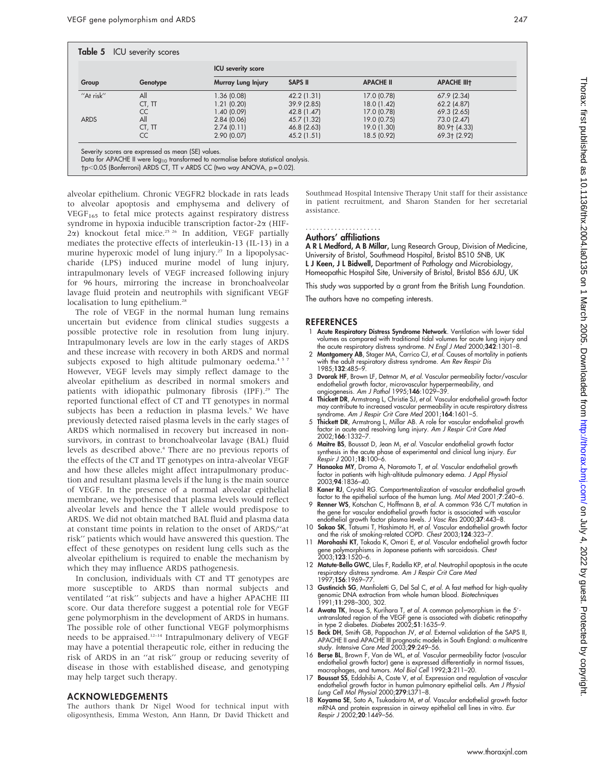| Group       | Genotype | <b>ICU</b> severity score |                |                  |                    |
|-------------|----------|---------------------------|----------------|------------------|--------------------|
|             |          | Murray Lung Injury        | <b>SAPS II</b> | <b>APACHE II</b> | <b>APACHE III+</b> |
| "At risk"   | All      | 1.36 (0.08)               | 42.2 (1.31)    | 17.0 (0.78)      | 67.9(2.34)         |
|             | CT, TT   | 1.21 (0.20)               | 39.9 (2.85)    | 18.0 (1.42)      | $62.2$ (4.87)      |
|             | CC       | 1.40 (0.09)               | 42.8 (1.47)    | 17.0 (0.78)      | 69.3(2.65)         |
| <b>ARDS</b> | All      | 2.84(0.06)                | 45.7 (1.32)    | 19.0 (0.75)      | 73.0 (2.47)        |
|             | CT, TT   | 2.74(0.11)                | 46.8 (2.63)    | 19.0 (1.30)      | 80.9† (4.33)       |
|             | CC       | 2.90(0.07)                | 45.2 (1.51)    | 18.5 (0.92)      | 69.3† (2.92)       |

Severity scores are expressed as mean (SE) values.

Data for APACHE II were log<sub>10</sub> transformed to normalise before statistical analysis.

p,0.05 (Bonferroni) ARDS CT, TT v ARDS CC (two way ANOVA, p = 0.02).

alveolar epithelium. Chronic VEGFR2 blockade in rats leads to alveolar apoptosis and emphysema and delivery of  $VEGF<sub>165</sub>$  to fetal mice protects against respiratory distress syndrome in hypoxia inducible transcription factor-2 $\alpha$  (HIF- $2\alpha$ ) knockout fetal mice.<sup>25 26</sup> In addition, VEGF partially mediates the protective effects of interleukin-13 (IL-13) in a murine hyperoxic model of lung injury.<sup>27</sup> In a lipopolysaccharide (LPS) induced murine model of lung injury, intrapulmonary levels of VEGF increased following injury for 96 hours, mirroring the increase in bronchoalveolar lavage fluid protein and neutrophils with significant VEGF localisation to lung epithelium.<sup>28</sup>

The role of VEGF in the normal human lung remains uncertain but evidence from clinical studies suggests a possible protective role in resolution from lung injury. Intrapulmonary levels are low in the early stages of ARDS and these increase with recovery in both ARDS and normal subjects exposed to high altitude pulmonary oedema.<sup>457</sup> However, VEGF levels may simply reflect damage to the alveolar epithelium as described in normal smokers and patients with idiopathic pulmonary fibrosis (IPF).<sup>29</sup> The reported functional effect of CT and TT genotypes in normal subjects has been a reduction in plasma levels.<sup>9</sup> We have previously detected raised plasma levels in the early stages of ARDS which normalised in recovery but increased in nonsurvivors, in contrast to bronchoalveolar lavage (BAL) fluid levels as described above.<sup>4</sup> There are no previous reports of the effects of the CT and TT genotypes on intra-alveolar VEGF and how these alleles might affect intrapulmonary production and resultant plasma levels if the lung is the main source of VEGF. In the presence of a normal alveolar epithelial membrane, we hypothesised that plasma levels would reflect alveolar levels and hence the T allele would predispose to ARDS. We did not obtain matched BAL fluid and plasma data at constant time points in relation to the onset of ARDS/''at risk'' patients which would have answered this question. The effect of these genotypes on resident lung cells such as the alveolar epithelium is required to enable the mechanism by which they may influence ARDS pathogenesis.

In conclusion, individuals with CT and TT genotypes are more susceptible to ARDS than normal subjects and ventilated ''at risk'' subjects and have a higher APACHE III score. Our data therefore suggest a potential role for VEGF gene polymorphism in the development of ARDS in humans. The possible role of other functional VEGF polymorphisms needs to be appraised.<sup>12–14</sup> Intrapulmonary delivery of VEGF may have a potential therapeutic role, either in reducing the risk of ARDS in an ''at risk'' group or reducing severity of disease in those with established disease, and genotyping may help target such therapy.

#### ACKNOWLEDGEMENTS

The authors thank Dr Nigel Wood for technical input with oligosynthesis, Emma Weston, Ann Hann, Dr David Thickett and

Southmead Hospital Intensive Therapy Unit staff for their assistance in patient recruitment, and Sharon Standen for her secretarial assistance.

#### Authors' affiliations .....................

A R L Medford, A B Millar, Lung Research Group, Division of Medicine, University of Bristol, Southmead Hospital, Bristol BS10 5NB, UK L J Keen, J L Bidwell, Department of Pathology and Microbiology

Homeopathic Hospital Site, University of Bristol, Bristol BS6 6JU, UK This study was supported by a grant from the British Lung Foundation.

The authors have no competing interests.

#### **REFERENCES**

- 1 Acute Respiratory Distress Syndrome Network. Ventilation with lower tidal volumes as compared with traditional tidal volumes for acute lung injury and the acute respiratory distress syndrome. N Engl J Med 2000;342:1301–8.
- 2 **Montgomery AB**, Stager MA, Carrico CJ, et al. Causes of mortality in patients with the adult respiratory distress syndrome. Am Rev Respir Dis 1985;132:485–9.
- 3 Dvorak HF, Brown LF, Detmar M, et al. Vascular permeability factor/vascular endothelial growth factor, microvascular hyperpermeability, and angiogenesis. A*m J Pathol* 1995;**146**:1029–39.
- 4 Thickett DR, Armstrong L, Christie SJ, et al. Vascular endothelial growth factor may contribute to increased vascular permeability in acute respiratory distress syndrome. Am J Respir Crit Care Med 2001;164:1601–5.
- 5 Thickett DR, Armstrong L, Millar AB. A role for vascular endothelial growth factor in acute and resolving lung injury. Am J Respir Crit Care Med 2002;166:1332–7.
- 6 Maitre BS, Boussat D, Jean M, et al. Vascular endothelial growth factor synthesis in the acute phase of experimental and clinical lung injury. Eur Respir J 2001;18:100–6.
- 7 Hanaoka MY, Droma A, Naramoto T, et al. Vascular endothelial growth factor in patients with high-altitude pulmonary edema. J Appl Physiol 2003;94:1836–40.
- 8 Kaner RJ, Crystal RG. Compartmentalization of vascular endothelial growth factor to the epithelial surface of the human lung. Mol Med 2001;7:240–6.
- 9 Renner WS, Kotschan C, Hoffmann B, et al. A common 936 C/T mutation in the gene for vascular endothelial growth factor is associated with vascular<br>endothelial growth factor plasma levels. J Vasc Res 2000;**37**:443–8.
- 10 Sakao SK, Tatsumi T, Hashimoto H, et al. Vascular endothelial growth factor and the risk of smoking-related COPD. Chest 2003;124:323–7.
- Morohashi KT, Takada K, Omori E, et al. Vascular endothelial growth factor gene polymorphisms in Japanese patients with sarcoidosis. Chest 2003;123:1520–6.
- 12 Matute-Bello GWC, Liles F, Radella KP, et al. Neutrophil apoptosis in the acute respiratory distress syndrome. Am J Respir Crit Care Med 1997;156:1969–77.
- 13 Gustincich SG, Manfioletti G, Del Sal C, et al. A fast method for high-quality nomic DNA extraction from whole human blood. Biotechniques genomic Diversion, 302.<br>1991;11:298–300, 302.
- 14 Awata TK, Inoue S, Kurihara T, et al. A common polymorphism in the 5'untranslated region of the VEGF gene is associated with diabetic retinopathy in type 2 diabetes. Diabetes 2002;51:1635–9.
- 15 Beck DH, Smith GB, Pappachan JV, et al. External validation of the SAPS II, APACHE II and APACHE III prognostic models in South England: a multicentre study. Intensive Care Med 2003;29:249-56.
- 16 Berse BL, Brown F, Van de WL, et al. Vascular permeability factor (vascular endothelial growth factor) gene is expressed differentially in normal tissues, macrophages, and tumors. Mol Biol Cell 1992;3:211-20.
- 17 Boussat SS, Eddahibi A, Coste V, et al. Expression and regulation of vascular endothelial growth factor in human pulmonary epithelial cells. Am J Physiol Lung Cell Mol Physiol 2000;279:L371–8.
- 18 Koyama SE, Sato A, Tsukadaira M, et al. Vascular endothelial growth factor mRNA and protein expression in airway epithelial cell lines in vitro. *Eur*<br>*Respir J* 2002;**20**:1449–56.